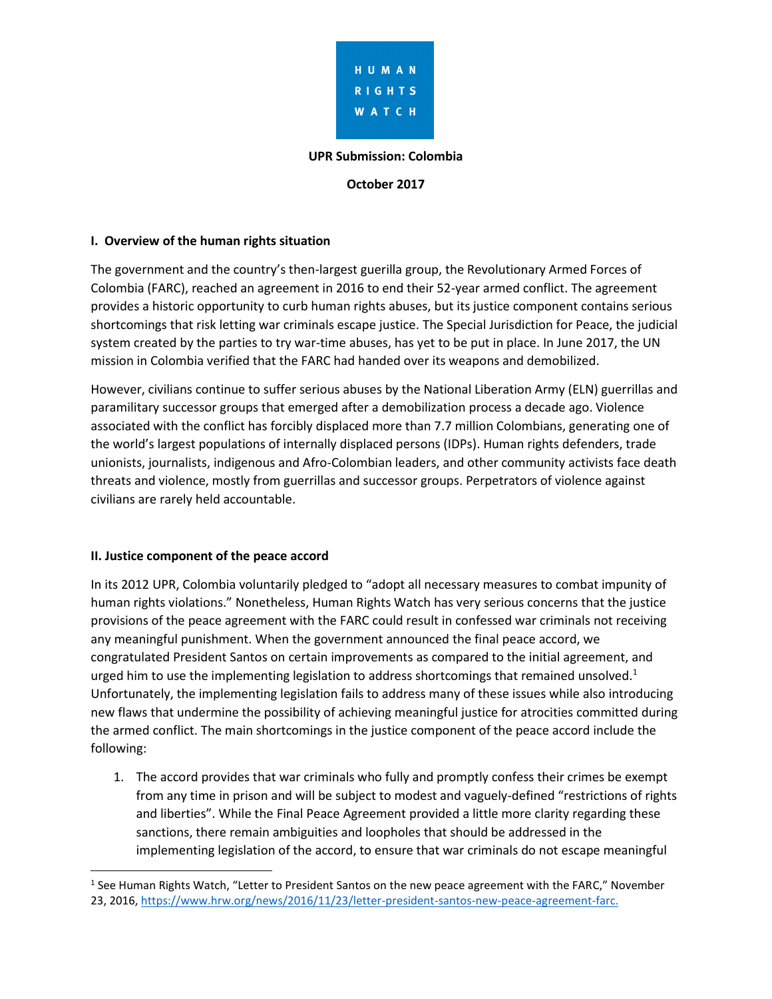

#### **UPR Submission: Colombia**

**October 2017**

#### **I. Overview of the human rights situation**

The government and the country's then-largest guerilla group, the Revolutionary Armed Forces of Colombia (FARC), reached an agreement in 2016 to end their 52-year armed conflict. The agreement provides a historic opportunity to curb human rights abuses, but its justice component contains serious shortcomings that risk letting war criminals escape justice. The Special Jurisdiction for Peace, the judicial system created by the parties to try war-time abuses, has yet to be put in place. In June 2017, the UN mission in Colombia verified that the FARC had handed over its weapons and demobilized.

However, civilians continue to suffer serious abuses by the National Liberation Army (ELN) guerrillas and paramilitary successor groups that emerged after a demobilization process a decade ago. Violence associated with the conflict has forcibly displaced more than 7.7 million Colombians, generating one of the world's largest populations of internally displaced persons (IDPs). Human rights defenders, trade unionists, journalists, indigenous and Afro-Colombian leaders, and other community activists face death threats and violence, mostly from guerrillas and successor groups. Perpetrators of violence against civilians are rarely held accountable.

#### **II. Justice component of the peace accord**

 $\overline{\phantom{a}}$ 

In its 2012 UPR, Colombia voluntarily pledged to "adopt all necessary measures to combat impunity of human rights violations." Nonetheless, Human Rights Watch has very serious concerns that the justice provisions of the peace agreement with the FARC could result in confessed war criminals not receiving any meaningful punishment. When the government announced the final peace accord, we congratulated President Santos on certain improvements as compared to the initial agreement, and urged him to use the implementing legislation to address shortcomings that remained unsolved.<sup>1</sup> Unfortunately, the implementing legislation fails to address many of these issues while also introducing new flaws that undermine the possibility of achieving meaningful justice for atrocities committed during the armed conflict. The main shortcomings in the justice component of the peace accord include the following:

1. The accord provides that war criminals who fully and promptly confess their crimes be exempt from any time in prison and will be subject to modest and vaguely-defined "restrictions of rights and liberties". While the Final Peace Agreement provided a little more clarity regarding these sanctions, there remain ambiguities and loopholes that should be addressed in the implementing legislation of the accord, to ensure that war criminals do not escape meaningful

<sup>&</sup>lt;sup>1</sup> See Human Rights Watch, "Letter to President Santos on the new peace agreement with the FARC," November 23, 2016, [https://www.hrw.org/news/2016/11/23/letter-president-santos-new-peace-agreement-farc.](https://www.hrw.org/news/2016/11/23/letter-president-santos-new-peace-agreement-farc)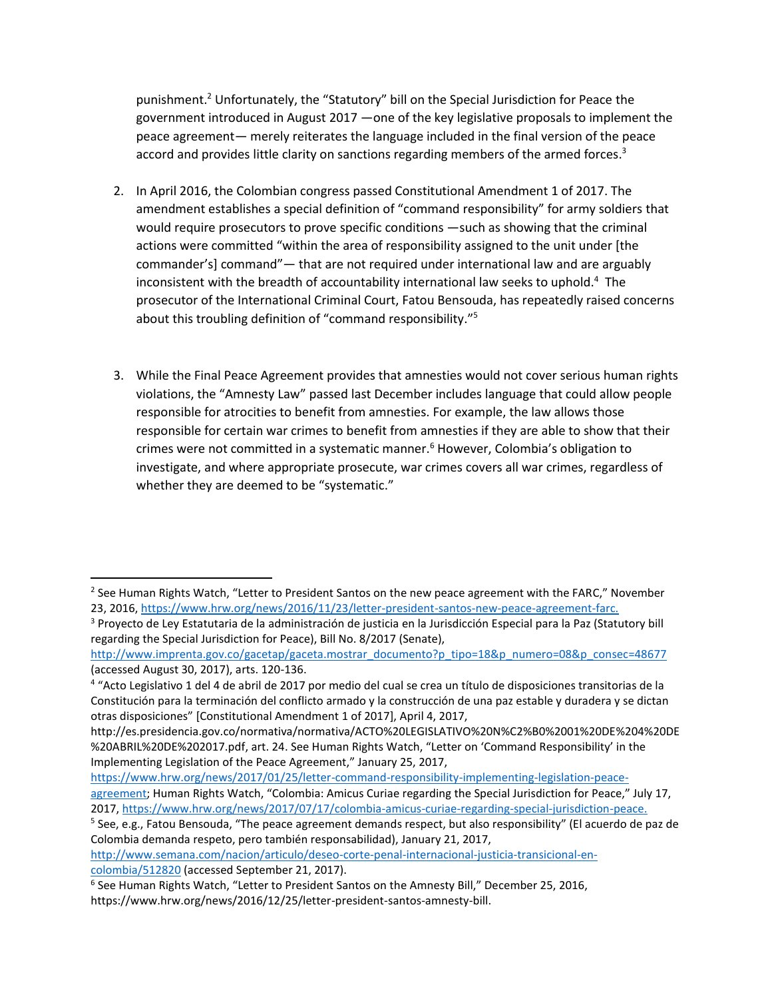punishment.<sup>2</sup> Unfortunately, the "Statutory" bill on the Special Jurisdiction for Peace the government introduced in August 2017 —one of the key legislative proposals to implement the peace agreement— merely reiterates the language included in the final version of the peace accord and provides little clarity on sanctions regarding members of the armed forces.<sup>3</sup>

- 2. In April 2016, the Colombian congress passed Constitutional Amendment 1 of 2017. The amendment establishes a special definition of "command responsibility" for army soldiers that would require prosecutors to prove specific conditions —such as showing that the criminal actions were committed "within the area of responsibility assigned to the unit under [the commander's] command"— that are not required under international law and are arguably inconsistent with the breadth of accountability international law seeks to uphold.<sup>4</sup> The prosecutor of the International Criminal Court, Fatou Bensouda, has repeatedly raised concerns about this troubling definition of "command responsibility."<sup>5</sup>
- 3. While the Final Peace Agreement provides that amnesties would not cover serious human rights violations, the "Amnesty Law" passed last December includes language that could allow people responsible for atrocities to benefit from amnesties. For example, the law allows those responsible for certain war crimes to benefit from amnesties if they are able to show that their crimes were not committed in a systematic manner.<sup>6</sup> However, Colombia's obligation to investigate, and where appropriate prosecute, war crimes covers all war crimes, regardless of whether they are deemed to be "systematic."

 $\overline{a}$ 

<sup>&</sup>lt;sup>2</sup> See Human Rights Watch, "Letter to President Santos on the new peace agreement with the FARC," November 23, 2016, [https://www.hrw.org/news/2016/11/23/letter-president-santos-new-peace-agreement-farc.](https://www.hrw.org/news/2016/11/23/letter-president-santos-new-peace-agreement-farc)

<sup>&</sup>lt;sup>3</sup> Proyecto de Ley Estatutaria de la administración de justicia en la Jurisdicción Especial para la Paz (Statutory bill regarding the Special Jurisdiction for Peace), Bill No. 8/2017 (Senate),

[http://www.imprenta.gov.co/gacetap/gaceta.mostrar\\_documento?p\\_tipo=18&p\\_numero=08&p\\_consec=48677](http://www.imprenta.gov.co/gacetap/gaceta.mostrar_documento?p_tipo=18&p_numero=08&p_consec=48677) (accessed August 30, 2017), arts. 120-136.

<sup>4</sup> "Acto Legislativo 1 del 4 de abril de 2017 por medio del cual se crea un título de disposiciones transitorias de la Constitución para la terminación del conflicto armado y la construcción de una paz estable y duradera y se dictan otras disposiciones" [Constitutional Amendment 1 of 2017], April 4, 2017,

http://es.presidencia.gov.co/normativa/normativa/ACTO%20LEGISLATIVO%20N%C2%B0%2001%20DE%204%20DE %20ABRIL%20DE%202017.pdf, art. 24. See Human Rights Watch, "Letter on 'Command Responsibility' in the Implementing Legislation of the Peace Agreement," January 25, 2017,

[https://www.hrw.org/news/2017/01/25/letter-command-responsibility-implementing-legislation-peace](https://www.hrw.org/news/2017/01/25/letter-command-responsibility-implementing-legislation-peace-agreement)[agreement](https://www.hrw.org/news/2017/01/25/letter-command-responsibility-implementing-legislation-peace-agreement); Human Rights Watch, "Colombia: Amicus Curiae regarding the Special Jurisdiction for Peace," July 17, 2017, [https://www.hrw.org/news/2017/07/17/colombia-amicus-curiae-regarding-special-jurisdiction-peace.](https://www.hrw.org/news/2017/07/17/colombia-amicus-curiae-regarding-special-jurisdiction-peace)

<sup>&</sup>lt;sup>5</sup> See, e.g., Fatou Bensouda, "The peace agreement demands respect, but also responsibility" (El acuerdo de paz de Colombia demanda respeto, pero también responsabilidad), January 21, 2017,

[http://www.semana.com/nacion/articulo/deseo-corte-penal-internacional-justicia-transicional-en](http://www.semana.com/nacion/articulo/deseo-corte-penal-internacional-justicia-transicional-en-colombia/512820)[colombia/512820](http://www.semana.com/nacion/articulo/deseo-corte-penal-internacional-justicia-transicional-en-colombia/512820) (accessed September 21, 2017).

<sup>&</sup>lt;sup>6</sup> See Human Rights Watch, "Letter to President Santos on the Amnesty Bill," December 25, 2016, https://www.hrw.org/news/2016/12/25/letter-president-santos-amnesty-bill.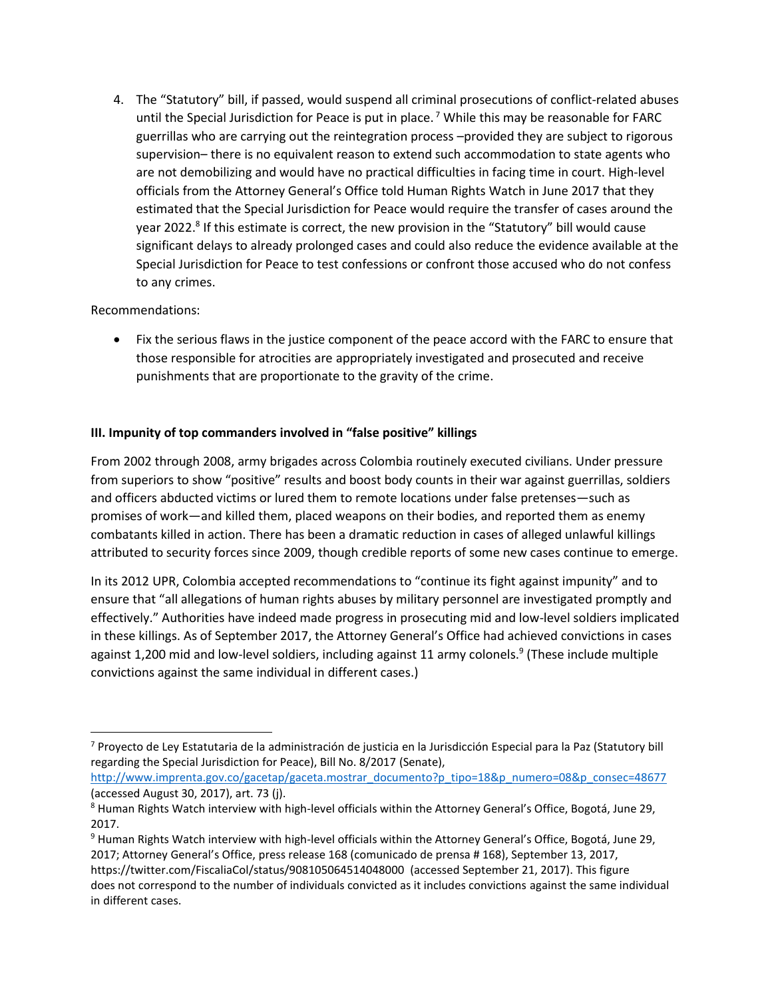4. The "Statutory" bill, if passed, would suspend all criminal prosecutions of conflict-related abuses until the Special Jurisdiction for Peace is put in place.<sup>7</sup> While this may be reasonable for FARC guerrillas who are carrying out the reintegration process –provided they are subject to rigorous supervision– there is no equivalent reason to extend such accommodation to state agents who are not demobilizing and would have no practical difficulties in facing time in court. High-level officials from the Attorney General's Office told Human Rights Watch in June 2017 that they estimated that the Special Jurisdiction for Peace would require the transfer of cases around the year 2022.<sup>8</sup> If this estimate is correct, the new provision in the "Statutory" bill would cause significant delays to already prolonged cases and could also reduce the evidence available at the Special Jurisdiction for Peace to test confessions or confront those accused who do not confess to any crimes.

## Recommendations:

 $\overline{\phantom{a}}$ 

 Fix the serious flaws in the justice component of the peace accord with the FARC to ensure that those responsible for atrocities are appropriately investigated and prosecuted and receive punishments that are proportionate to the gravity of the crime.

## **III. Impunity of top commanders involved in "false positive" killings**

From 2002 through 2008, army brigades across Colombia routinely executed civilians. Under pressure from superiors to show "positive" results and boost body counts in their war against guerrillas, soldiers and officers abducted victims or lured them to remote locations under false pretenses—such as promises of work—and killed them, placed weapons on their bodies, and reported them as enemy combatants killed in action. There has been a dramatic reduction in cases of alleged unlawful killings attributed to security forces since 2009, though credible reports of some new cases continue to emerge.

In its 2012 UPR, Colombia accepted recommendations to "continue its fight against impunity" and to ensure that "all allegations of human rights abuses by military personnel are investigated promptly and effectively." Authorities have indeed made progress in prosecuting mid and low-level soldiers implicated in these killings. As of September 2017, the Attorney General's Office had achieved convictions in cases against 1,200 mid and low-level soldiers, including against 11 army colonels.<sup>9</sup> (These include multiple convictions against the same individual in different cases.)

[http://www.imprenta.gov.co/gacetap/gaceta.mostrar\\_documento?p\\_tipo=18&p\\_numero=08&p\\_consec=48677](http://www.imprenta.gov.co/gacetap/gaceta.mostrar_documento?p_tipo=18&p_numero=08&p_consec=48677) (accessed August 30, 2017), art. 73 (j).

<sup>&</sup>lt;sup>7</sup> Proyecto de Ley Estatutaria de la administración de justicia en la Jurisdicción Especial para la Paz (Statutory bill regarding the Special Jurisdiction for Peace), Bill No. 8/2017 (Senate),

<sup>8</sup> Human Rights Watch interview with high-level officials within the Attorney General's Office, Bogotá, June 29, 2017.

<sup>9</sup> Human Rights Watch interview with high-level officials within the Attorney General's Office, Bogotá, June 29, 2017; Attorney General's Office, press release 168 (comunicado de prensa # 168), September 13, 2017, <https://twitter.com/FiscaliaCol/status/908105064514048000>(accessed September 21, 2017). This figure does not correspond to the number of individuals convicted as it includes convictions against the same individual in different cases.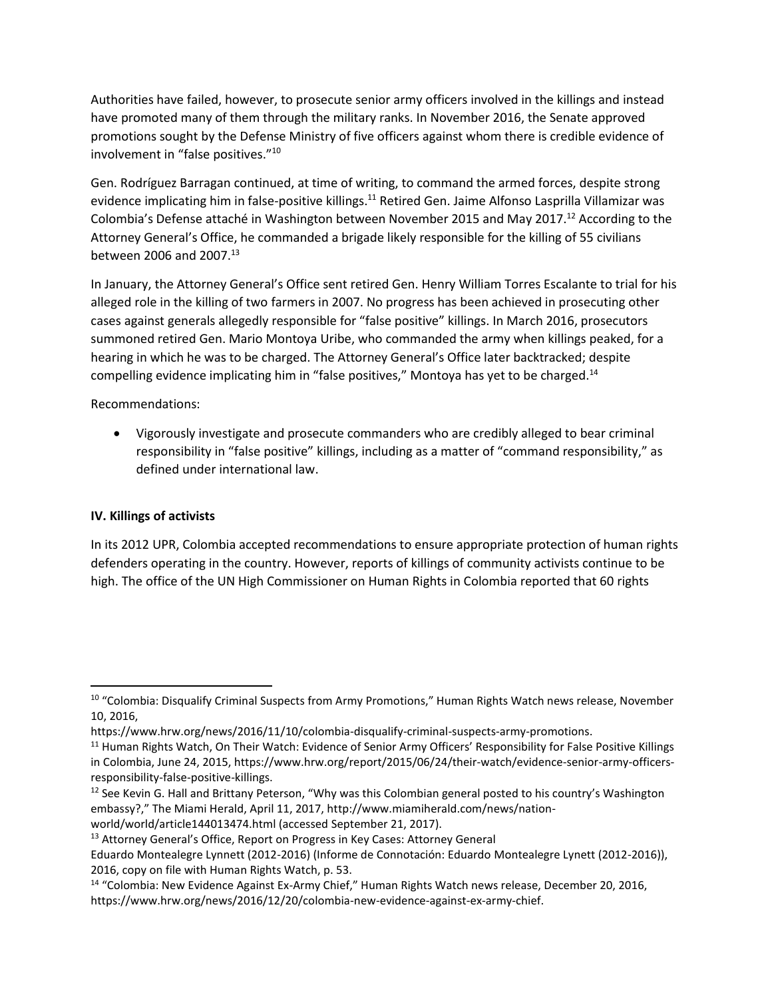Authorities have failed, however, to prosecute senior army officers involved in the killings and instead have promoted many of them through the military ranks. In November 2016, the Senate approved promotions sought by the Defense Ministry of five officers against whom there is credible evidence of involvement in "false positives."<sup>10</sup>

Gen. Rodríguez Barragan continued, at time of writing, to command the armed forces, despite strong evidence implicating him in false-positive killings.<sup>11</sup> Retired Gen. Jaime Alfonso Lasprilla Villamizar was Colombia's Defense attaché in Washington between November 2015 and May 2017.<sup>12</sup> According to the Attorney General's Office, he commanded a brigade likely responsible for the killing of 55 civilians between 2006 and 2007.<sup>13</sup>

In January, the Attorney General's Office sent retired Gen. Henry William Torres Escalante to trial for his alleged role in the killing of two farmers in 2007. No progress has been achieved in prosecuting other cases against generals allegedly responsible for "false positive" killings. In March 2016, prosecutors summoned retired Gen. Mario Montoya Uribe, who commanded the army when killings peaked, for a hearing in which he was to be charged. The Attorney General's Office later backtracked; despite compelling evidence implicating him in "false positives," Montoya has yet to be charged.<sup>14</sup>

Recommendations:

 Vigorously investigate and prosecute commanders who are credibly alleged to bear criminal responsibility in "false positive" killings, including as a matter of "command responsibility," as defined under international law.

# **IV. Killings of activists**

 $\overline{\phantom{a}}$ 

In its 2012 UPR, Colombia accepted recommendations to ensure appropriate protection of human rights defenders operating in the country. However, reports of killings of community activists continue to be high. The office of the UN High Commissioner on Human Rights in Colombia reported that 60 rights

world/world/article144013474.html (accessed September 21, 2017).

<sup>&</sup>lt;sup>10</sup> "Colombia: Disqualify Criminal Suspects from Army Promotions," Human Rights Watch news release, November 10, 2016,

https://www.hrw.org/news/2016/11/10/colombia-disqualify-criminal-suspects-army-promotions.

<sup>&</sup>lt;sup>11</sup> Human Rights Watch, On Their Watch: Evidence of Senior Army Officers' Responsibility for False Positive Killings in Colombia, June 24, 2015, https://www.hrw.org/report/2015/06/24/their-watch/evidence-senior-army-officersresponsibility-false-positive-killings.

<sup>&</sup>lt;sup>12</sup> See Kevin G. Hall and Brittany Peterson, "Why was this Colombian general posted to his country's Washington embassy?," The Miami Herald, April 11, 2017, http://www.miamiherald.com/news/nation-

<sup>&</sup>lt;sup>13</sup> Attorney General's Office, Report on Progress in Key Cases: Attorney General

Eduardo Montealegre Lynnett (2012-2016) (Informe de Connotación: Eduardo Montealegre Lynett (2012-2016)), 2016, copy on file with Human Rights Watch, p. 53.

<sup>&</sup>lt;sup>14</sup> "Colombia: New Evidence Against Ex-Army Chief," Human Rights Watch news release, December 20, 2016, https://www.hrw.org/news/2016/12/20/colombia-new-evidence-against-ex-army-chief.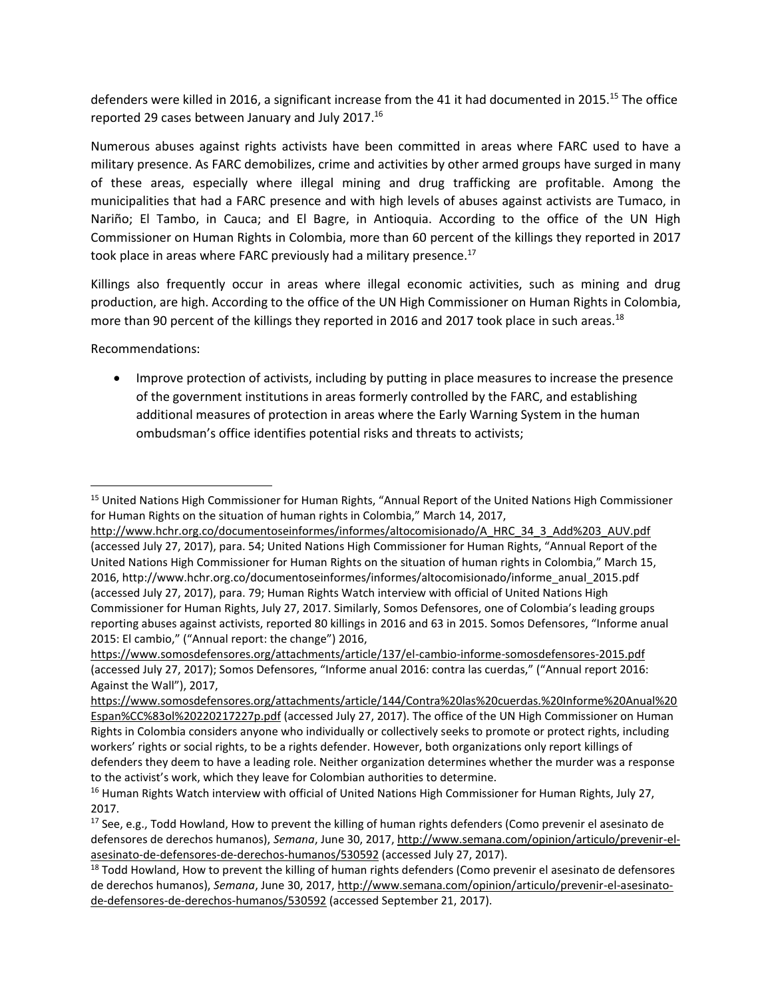defenders were killed in 2016, a significant increase from the 41 it had documented in 2015.<sup>15</sup> The office reported 29 cases between January and July 2017.<sup>16</sup>

Numerous abuses against rights activists have been committed in areas where FARC used to have a military presence. As FARC demobilizes, crime and activities by other armed groups have surged in many of these areas, especially where illegal mining and drug trafficking are profitable. Among the municipalities that had a FARC presence and with high levels of abuses against activists are Tumaco, in Nariño; El Tambo, in Cauca; and El Bagre, in Antioquia. According to the office of the UN High Commissioner on Human Rights in Colombia, more than 60 percent of the killings they reported in 2017 took place in areas where FARC previously had a military presence.<sup>17</sup>

Killings also frequently occur in areas where illegal economic activities, such as mining and drug production, are high. According to the office of the UN High Commissioner on Human Rights in Colombia, more than 90 percent of the killings they reported in 2016 and 2017 took place in such areas.<sup>18</sup>

Recommendations:

 $\overline{\phantom{a}}$ 

• Improve protection of activists, including by putting in place measures to increase the presence of the government institutions in areas formerly controlled by the FARC, and establishing additional measures of protection in areas where the Early Warning System in the human ombudsman's office identifies potential risks and threats to activists;

<sup>&</sup>lt;sup>15</sup> United Nations High Commissioner for Human Rights, "Annual Report of the United Nations High Commissioner for Human Rights on the situation of human rights in Colombia," March 14, 2017,

[http://www.hchr.org.co/documentoseinformes/informes/altocomisionado/A\\_HRC\\_34\\_3\\_Add%203\\_AUV.pdf](http://www.hchr.org.co/documentoseinformes/informes/altocomisionado/A_HRC_34_3_Add%203_AUV.pdf) (accessed July 27, 2017), para. 54; United Nations High Commissioner for Human Rights, "Annual Report of the United Nations High Commissioner for Human Rights on the situation of human rights in Colombia," March 15, 2016, http://www.hchr.org.co/documentoseinformes/informes/altocomisionado/informe\_anual\_2015.pdf (accessed July 27, 2017), para. 79; Human Rights Watch interview with official of United Nations High Commissioner for Human Rights, July 27, 2017. Similarly, Somos Defensores, one of Colombia's leading groups reporting abuses against activists, reported 80 killings in 2016 and 63 in 2015. Somos Defensores, "Informe anual 2015: El cambio," ("Annual report: the change") 2016,

<https://www.somosdefensores.org/attachments/article/137/el-cambio-informe-somosdefensores-2015.pdf> (accessed July 27, 2017); Somos Defensores, "Informe anual 2016: contra las cuerdas," ("Annual report 2016: Against the Wall"), 2017,

[https://www.somosdefensores.org/attachments/article/144/Contra%20las%20cuerdas.%20Informe%20Anual%20](https://www.somosdefensores.org/attachments/article/144/Contra%20las%20cuerdas.%20Informe%20Anual%20Espan%CC%83ol%20220217227p.pdf) [Espan%CC%83ol%20220217227p.pdf](https://www.somosdefensores.org/attachments/article/144/Contra%20las%20cuerdas.%20Informe%20Anual%20Espan%CC%83ol%20220217227p.pdf) (accessed July 27, 2017). The office of the UN High Commissioner on Human Rights in Colombia considers anyone who individually or collectively seeks to promote or protect rights, including workers' rights or social rights, to be a rights defender. However, both organizations only report killings of defenders they deem to have a leading role. Neither organization determines whether the murder was a response to the activist's work, which they leave for Colombian authorities to determine.

<sup>&</sup>lt;sup>16</sup> Human Rights Watch interview with official of United Nations High Commissioner for Human Rights, July 27, 2017.

<sup>&</sup>lt;sup>17</sup> See, e.g., Todd Howland, How to prevent the killing of human rights defenders (Como prevenir el asesinato de defensores de derechos humanos), *Semana*, June 30, 2017, [http://www.semana.com/opinion/articulo/prevenir-el](http://www.semana.com/opinion/articulo/prevenir-el-asesinato-de-defensores-de-derechos-humanos/530592)[asesinato-de-defensores-de-derechos-humanos/530592](http://www.semana.com/opinion/articulo/prevenir-el-asesinato-de-defensores-de-derechos-humanos/530592) (accessed July 27, 2017).

<sup>&</sup>lt;sup>18</sup> Todd Howland, How to prevent the killing of human rights defenders (Como prevenir el asesinato de defensores de derechos humanos), *Semana*, June 30, 2017, [http://www.semana.com/opinion/articulo/prevenir-el-asesinato](http://www.semana.com/opinion/articulo/prevenir-el-asesinato-de-defensores-de-derechos-humanos/530592)[de-defensores-de-derechos-humanos/530592](http://www.semana.com/opinion/articulo/prevenir-el-asesinato-de-defensores-de-derechos-humanos/530592) (accessed September 21, 2017).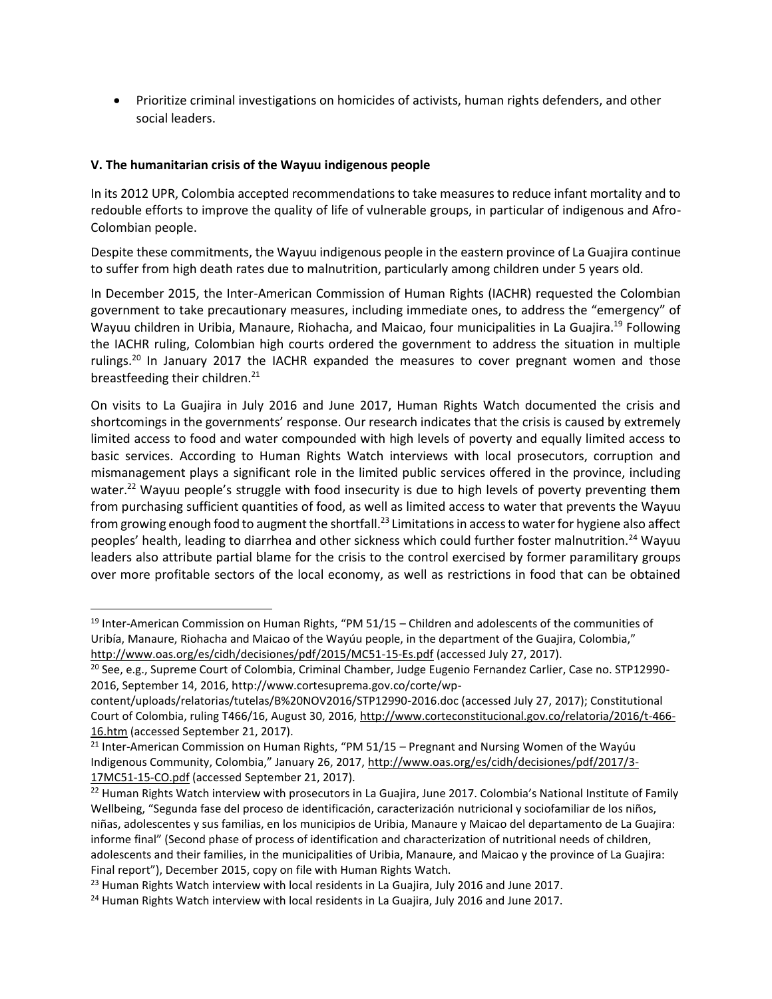Prioritize criminal investigations on homicides of activists, human rights defenders, and other social leaders.

## **V. The humanitarian crisis of the Wayuu indigenous people**

 $\overline{\phantom{a}}$ 

In its 2012 UPR, Colombia accepted recommendations to take measures to reduce infant mortality and to redouble efforts to improve the quality of life of vulnerable groups, in particular of indigenous and Afro-Colombian people.

Despite these commitments, the Wayuu indigenous people in the eastern province of La Guajira continue to suffer from high death rates due to malnutrition, particularly among children under 5 years old.

In December 2015, the Inter-American Commission of Human Rights (IACHR) requested the Colombian government to take precautionary measures, including immediate ones, to address the "emergency" of Wayuu children in Uribia, Manaure, Riohacha, and Maicao, four municipalities in La Guajira.<sup>19</sup> Following the IACHR ruling, Colombian high courts ordered the government to address the situation in multiple rulings.<sup>20</sup> In January 2017 the IACHR expanded the measures to cover pregnant women and those breastfeeding their children.<sup>21</sup>

On visits to La Guajira in July 2016 and June 2017, Human Rights Watch documented the crisis and shortcomings in the governments' response. Our research indicates that the crisis is caused by extremely limited access to food and water compounded with high levels of poverty and equally limited access to basic services. According to Human Rights Watch interviews with local prosecutors, corruption and mismanagement plays a significant role in the limited public services offered in the province, including water.<sup>22</sup> Wayuu people's struggle with food insecurity is due to high levels of poverty preventing them from purchasing sufficient quantities of food, as well as limited access to water that prevents the Wayuu from growing enough food to augment the shortfall.<sup>23</sup> Limitations in access to water for hygiene also affect peoples' health, leading to diarrhea and other sickness which could further foster malnutrition.<sup>24</sup> Wayuu leaders also attribute partial blame for the crisis to the control exercised by former paramilitary groups over more profitable sectors of the local economy, as well as restrictions in food that can be obtained

<sup>&</sup>lt;sup>19</sup> Inter-American Commission on Human Rights, "PM 51/15 – Children and adolescents of the communities of Uribía, Manaure, Riohacha and Maicao of the Wayúu people, in the department of the Guajira, Colombia," <http://www.oas.org/es/cidh/decisiones/pdf/2015/MC51-15-Es.pdf> (accessed July 27, 2017).

<sup>&</sup>lt;sup>20</sup> See, e.g., Supreme Court of Colombia, Criminal Chamber, Judge Eugenio Fernandez Carlier, Case no. STP12990-2016, September 14, 2016, http://www.cortesuprema.gov.co/corte/wp-

content/uploads/relatorias/tutelas/B%20NOV2016/STP12990-2016.doc (accessed July 27, 2017); Constitutional Court of Colombia, ruling T466/16, August 30, 2016[, http://www.corteconstitucional.gov.co/relatoria/2016/t-466-](http://www.corteconstitucional.gov.co/relatoria/2016/t-466-16.htm) [16.htm](http://www.corteconstitucional.gov.co/relatoria/2016/t-466-16.htm) (accessed September 21, 2017).

<sup>&</sup>lt;sup>21</sup> Inter-American Commission on Human Rights, "PM 51/15 – Pregnant and Nursing Women of the Wayúu Indigenous Community, Colombia," January 26, 2017, [http://www.oas.org/es/cidh/decisiones/pdf/2017/3-](http://www.oas.org/es/cidh/decisiones/pdf/2017/3-17MC51-15-CO.pdf) [17MC51-15-CO.pdf](http://www.oas.org/es/cidh/decisiones/pdf/2017/3-17MC51-15-CO.pdf) (accessed September 21, 2017).

<sup>&</sup>lt;sup>22</sup> Human Rights Watch interview with prosecutors in La Guajira, June 2017. Colombia's National Institute of Family Wellbeing, "Segunda fase del proceso de identificación, caracterización nutricional y sociofamiliar de los niños, niñas, adolescentes y sus familias, en los municipios de Uribia, Manaure y Maicao del departamento de La Guajira: informe final" (Second phase of process of identification and characterization of nutritional needs of children, adolescents and their families, in the municipalities of Uribia, Manaure, and Maicao y the province of La Guajira: Final report"), December 2015, copy on file with Human Rights Watch.

 $^{23}$  Human Rights Watch interview with local residents in La Guajira, July 2016 and June 2017.

<sup>&</sup>lt;sup>24</sup> Human Rights Watch interview with local residents in La Guajira, July 2016 and June 2017.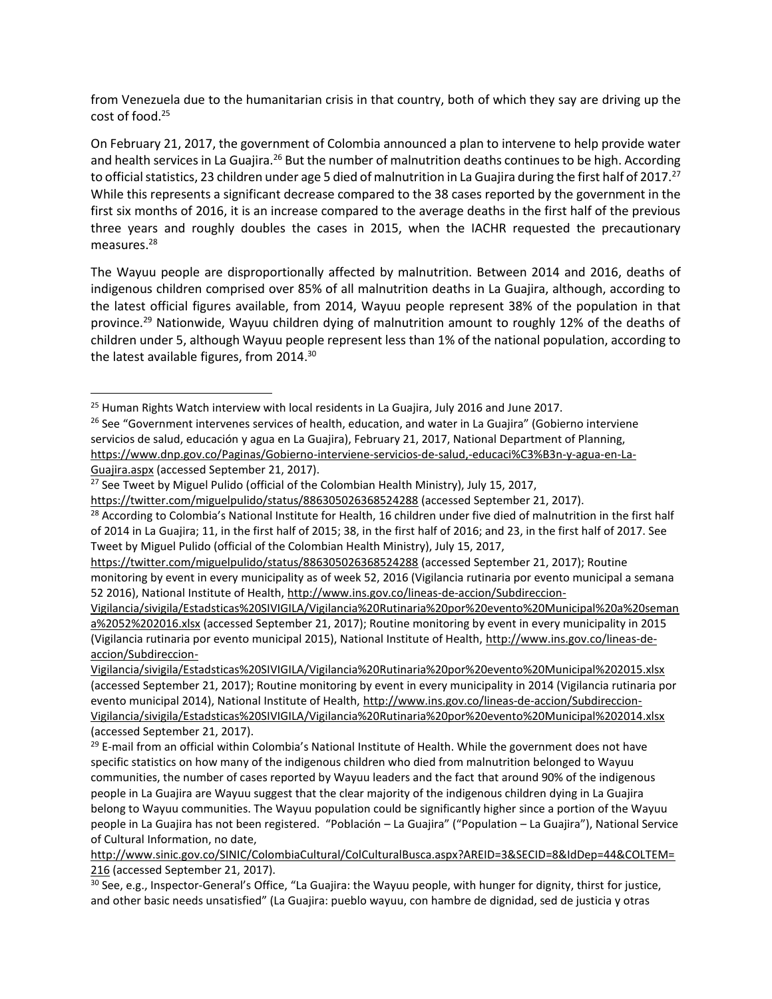from Venezuela due to the humanitarian crisis in that country, both of which they say are driving up the cost of food.<sup>25</sup>

On February 21, 2017, the government of Colombia announced a plan to intervene to help provide water and health services in La Guajira.<sup>26</sup> But the number of malnutrition deaths continues to be high. According to official statistics, 23 children under age 5 died of malnutrition in La Guajira during the first half of 2017.<sup>27</sup> While this represents a significant decrease compared to the 38 cases reported by the government in the first six months of 2016, it is an increase compared to the average deaths in the first half of the previous three years and roughly doubles the cases in 2015, when the IACHR requested the precautionary measures.<sup>28</sup>

The Wayuu people are disproportionally affected by malnutrition. Between 2014 and 2016, deaths of indigenous children comprised over 85% of all malnutrition deaths in La Guajira, although, according to the latest official figures available, from 2014, Wayuu people represent 38% of the population in that province.<sup>29</sup> Nationwide, Wayuu children dying of malnutrition amount to roughly 12% of the deaths of children under 5, although Wayuu people represent less than 1% of the national population, according to the latest available figures, from 2014.<sup>30</sup>

 $\overline{a}$ 

 $25$  Human Rights Watch interview with local residents in La Guajira, July 2016 and June 2017.

<sup>&</sup>lt;sup>26</sup> See "Government intervenes services of health, education, and water in La Guajira" (Gobierno interviene servicios de salud, educación y agua en La Guajira), February 21, 2017, National Department of Planning, [https://www.dnp.gov.co/Paginas/Gobierno-interviene-servicios-de-salud,-educaci%C3%B3n-y-agua-en-La-](https://www.dnp.gov.co/Paginas/Gobierno-interviene-servicios-de-salud,-educaci%C3%B3n-y-agua-en-La-Guajira.aspx)[Guajira.aspx](https://www.dnp.gov.co/Paginas/Gobierno-interviene-servicios-de-salud,-educaci%C3%B3n-y-agua-en-La-Guajira.aspx) (accessed September 21, 2017).

<sup>&</sup>lt;sup>27</sup> See Tweet by Miguel Pulido (official of the Colombian Health Ministry), July 15, 2017,

<https://twitter.com/miguelpulido/status/886305026368524288> (accessed September 21, 2017).

<sup>&</sup>lt;sup>28</sup> According to Colombia's National Institute for Health, 16 children under five died of malnutrition in the first half of 2014 in La Guajira; 11, in the first half of 2015; 38, in the first half of 2016; and 23, in the first half of 2017. See Tweet by Miguel Pulido (official of the Colombian Health Ministry), July 15, 2017,

<https://twitter.com/miguelpulido/status/886305026368524288> (accessed September 21, 2017); Routine monitoring by event in every municipality as of week 52, 2016 (Vigilancia rutinaria por evento municipal a semana 52 2016), National Institute of Health, [http://www.ins.gov.co/lineas-de-accion/Subdireccion-](http://www.ins.gov.co/lineas-de-accion/Subdireccion-Vigilancia/sivigila/Estadsticas%20SIVIGILA/Vigilancia%20Rutinaria%20por%20evento%20Municipal%20a%20semana%2052%202016.xlsx)

[Vigilancia/sivigila/Estadsticas%20SIVIGILA/Vigilancia%20Rutinaria%20por%20evento%20Municipal%20a%20seman](http://www.ins.gov.co/lineas-de-accion/Subdireccion-Vigilancia/sivigila/Estadsticas%20SIVIGILA/Vigilancia%20Rutinaria%20por%20evento%20Municipal%20a%20semana%2052%202016.xlsx) [a%2052%202016.xlsx](http://www.ins.gov.co/lineas-de-accion/Subdireccion-Vigilancia/sivigila/Estadsticas%20SIVIGILA/Vigilancia%20Rutinaria%20por%20evento%20Municipal%20a%20semana%2052%202016.xlsx) (accessed September 21, 2017); Routine monitoring by event in every municipality in 2015 (Vigilancia rutinaria por evento municipal 2015), National Institute of Health, [http://www.ins.gov.co/lineas-de](http://www.ins.gov.co/lineas-de-accion/Subdireccion-Vigilancia/sivigila/Estadsticas%20SIVIGILA/Vigilancia%20Rutinaria%20por%20evento%20Municipal%202015.xlsx)[accion/Subdireccion-](http://www.ins.gov.co/lineas-de-accion/Subdireccion-Vigilancia/sivigila/Estadsticas%20SIVIGILA/Vigilancia%20Rutinaria%20por%20evento%20Municipal%202015.xlsx)

[Vigilancia/sivigila/Estadsticas%20SIVIGILA/Vigilancia%20Rutinaria%20por%20evento%20Municipal%202015.xlsx](http://www.ins.gov.co/lineas-de-accion/Subdireccion-Vigilancia/sivigila/Estadsticas%20SIVIGILA/Vigilancia%20Rutinaria%20por%20evento%20Municipal%202015.xlsx)  (accessed September 21, 2017); Routine monitoring by event in every municipality in 2014 (Vigilancia rutinaria por evento municipal 2014), National Institute of Health, [http://www.ins.gov.co/lineas-de-accion/Subdireccion-](http://www.ins.gov.co/lineas-de-accion/Subdireccion-Vigilancia/sivigila/Estadsticas%20SIVIGILA/Vigilancia%20Rutinaria%20por%20evento%20Municipal%202014.xlsx)[Vigilancia/sivigila/Estadsticas%20SIVIGILA/Vigilancia%20Rutinaria%20por%20evento%20Municipal%202014.xlsx](http://www.ins.gov.co/lineas-de-accion/Subdireccion-Vigilancia/sivigila/Estadsticas%20SIVIGILA/Vigilancia%20Rutinaria%20por%20evento%20Municipal%202014.xlsx)  (accessed September 21, 2017).

<sup>&</sup>lt;sup>29</sup> E-mail from an official within Colombia's National Institute of Health. While the government does not have specific statistics on how many of the indigenous children who died from malnutrition belonged to Wayuu communities, the number of cases reported by Wayuu leaders and the fact that around 90% of the indigenous people in La Guajira are Wayuu suggest that the clear majority of the indigenous children dying in La Guajira belong to Wayuu communities. The Wayuu population could be significantly higher since a portion of the Wayuu people in La Guajira has not been registered. "Población – La Guajira" ("Population – La Guajira"), National Service of Cultural Information, no date,

[http://www.sinic.gov.co/SINIC/ColombiaCultural/ColCulturalBusca.aspx?AREID=3&SECID=8&IdDep=44&COLTEM=](http://www.sinic.gov.co/SINIC/ColombiaCultural/ColCulturalBusca.aspx?AREID=3&SECID=8&IdDep=44&COLTEM=216) [216](http://www.sinic.gov.co/SINIC/ColombiaCultural/ColCulturalBusca.aspx?AREID=3&SECID=8&IdDep=44&COLTEM=216) (accessed September 21, 2017).

 $30$  See, e.g., Inspector-General's Office, "La Guajira: the Wayuu people, with hunger for dignity, thirst for justice, and other basic needs unsatisfied" (La Guajira: pueblo wayuu, con hambre de dignidad, sed de justicia y otras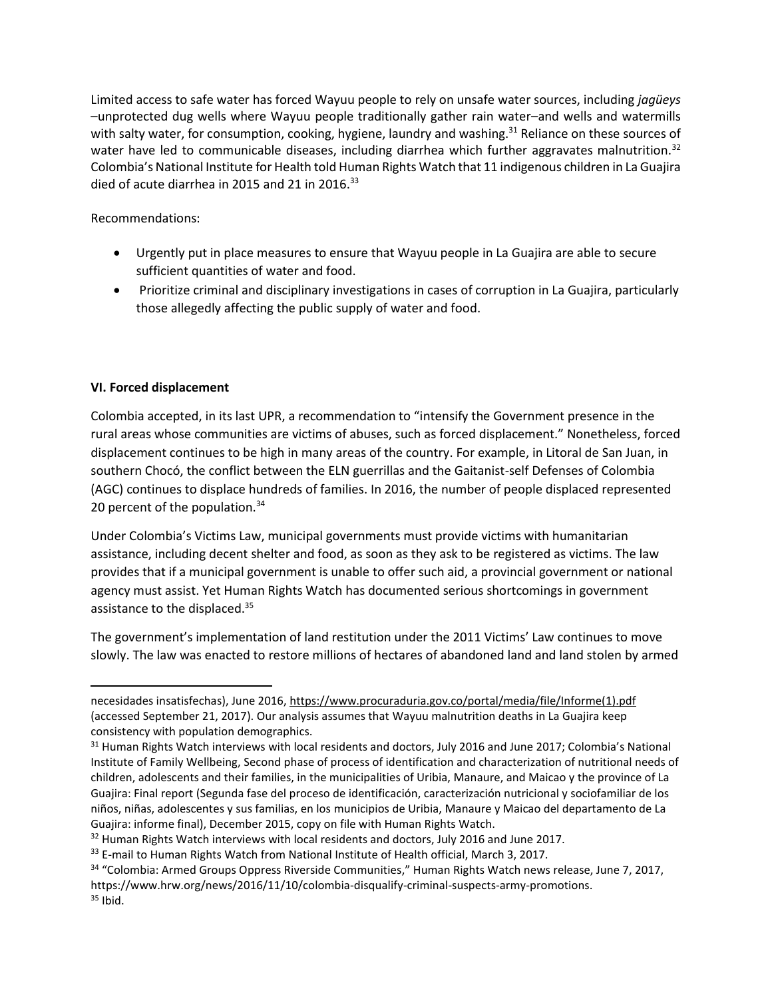Limited access to safe water has forced Wayuu people to rely on unsafe water sources, including *jagüeys* –unprotected dug wells where Wayuu people traditionally gather rain water–and wells and watermills with salty water, for consumption, cooking, hygiene, laundry and washing.<sup>31</sup> Reliance on these sources of water have led to communicable diseases, including diarrhea which further aggravates malnutrition.<sup>32</sup> Colombia's National Institute for Health told Human Rights Watch that 11 indigenous children in La Guajira died of acute diarrhea in 2015 and 21 in 2016. $33$ 

Recommendations:

- Urgently put in place measures to ensure that Wayuu people in La Guajira are able to secure sufficient quantities of water and food.
- Prioritize criminal and disciplinary investigations in cases of corruption in La Guajira, particularly those allegedly affecting the public supply of water and food.

# **VI. Forced displacement**

 $\overline{\phantom{a}}$ 

Colombia accepted, in its last UPR, a recommendation to "intensify the Government presence in the rural areas whose communities are victims of abuses, such as forced displacement." Nonetheless, forced displacement continues to be high in many areas of the country. For example, in Litoral de San Juan, in southern Chocó, the conflict between the ELN guerrillas and the Gaitanist-self Defenses of Colombia (AGC) continues to displace hundreds of families. In 2016, the number of people displaced represented 20 percent of the population.<sup>34</sup>

Under Colombia's Victims Law, municipal governments must provide victims with humanitarian assistance, including decent shelter and food, as soon as they ask to be registered as victims. The law provides that if a municipal government is unable to offer such aid, a provincial government or national agency must assist. Yet Human Rights Watch has documented serious shortcomings in government assistance to the displaced.<sup>35</sup>

The government's implementation of land restitution under the 2011 Victims' Law continues to move slowly. The law was enacted to restore millions of hectares of abandoned land and land stolen by armed

necesidades insatisfechas), June 2016, [https://www.procuraduria.gov.co/portal/media/file/Informe\(1\).pdf](https://www.procuraduria.gov.co/portal/media/file/Informe(1).pdf) (accessed September 21, 2017). Our analysis assumes that Wayuu malnutrition deaths in La Guajira keep consistency with population demographics.

<sup>&</sup>lt;sup>31</sup> Human Rights Watch interviews with local residents and doctors, July 2016 and June 2017; Colombia's National Institute of Family Wellbeing, Second phase of process of identification and characterization of nutritional needs of children, adolescents and their families, in the municipalities of Uribia, Manaure, and Maicao y the province of La Guajira: Final report (Segunda fase del proceso de identificación, caracterización nutricional y sociofamiliar de los niños, niñas, adolescentes y sus familias, en los municipios de Uribia, Manaure y Maicao del departamento de La Guajira: informe final), December 2015, copy on file with Human Rights Watch.

<sup>&</sup>lt;sup>32</sup> Human Rights Watch interviews with local residents and doctors, July 2016 and June 2017.

<sup>&</sup>lt;sup>33</sup> E-mail to Human Rights Watch from National Institute of Health official, March 3, 2017.

<sup>&</sup>lt;sup>34</sup> "Colombia: Armed Groups Oppress Riverside Communities," Human Rights Watch news release, June 7, 2017, https://www.hrw.org/news/2016/11/10/colombia-disqualify-criminal-suspects-army-promotions.  $35$  Ibid.